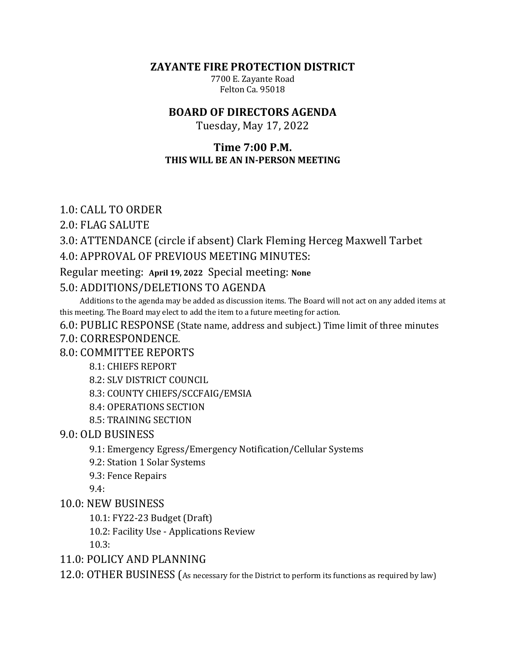**ZAYANTE FIRE PROTECTION DISTRICT** 

7700 E. Zayante Road Felton Ca. 95018

## **BOARD OF DIRECTORS AGENDA**

Tuesday, May 17, 2022

## **Time 7:00 P.M. THIS WILL BE AN IN-PERSON MEETING**

## 1.0: CALL TO ORDER

2.0: FLAG SALUTE

# 3.0: ATTENDANCE (circle if absent) Clark Fleming Herceg Maxwell Tarbet

## 4.0: APPROVAL OF PREVIOUS MEETING MINUTES:

## Regular meeting: April 19, 2022 Special meeting: None

## 5.0: ADDITIONS/DELETIONS TO AGENDA

Additions to the agenda may be added as discussion items. The Board will not act on any added items at this meeting. The Board may elect to add the item to a future meeting for action.

#### 6.0: PUBLIC RESPONSE (State name, address and subject.) Time limit of three minutes

## 7.0: CORRESPONDENCE.

## 8.0: COMMITTEE REPORTS

## 8.1: CHIEFS REPORT

8.2: SLV DISTRICT COUNCIL

8.3: COUNTY CHIEFS/SCCFAIG/EMSIA

- 8.4: OPERATIONS SECTION
- 8.5: TRAINING SECTION

## 9.0: OLD BUSINESS

- 9.1: Emergency Egress/Emergency Notification/Cellular Systems
- 9.2: Station 1 Solar Systems
- 9.3: Fence Repairs

9.4:

## 10.0: NEW BUSINESS

10.1: FY22-23 Budget (Draft)

10.2: Facility Use - Applications Review

10.3:

# 11.0: POLICY AND PLANNING

12.0: OTHER BUSINESS (As necessary for the District to perform its functions as required by law)